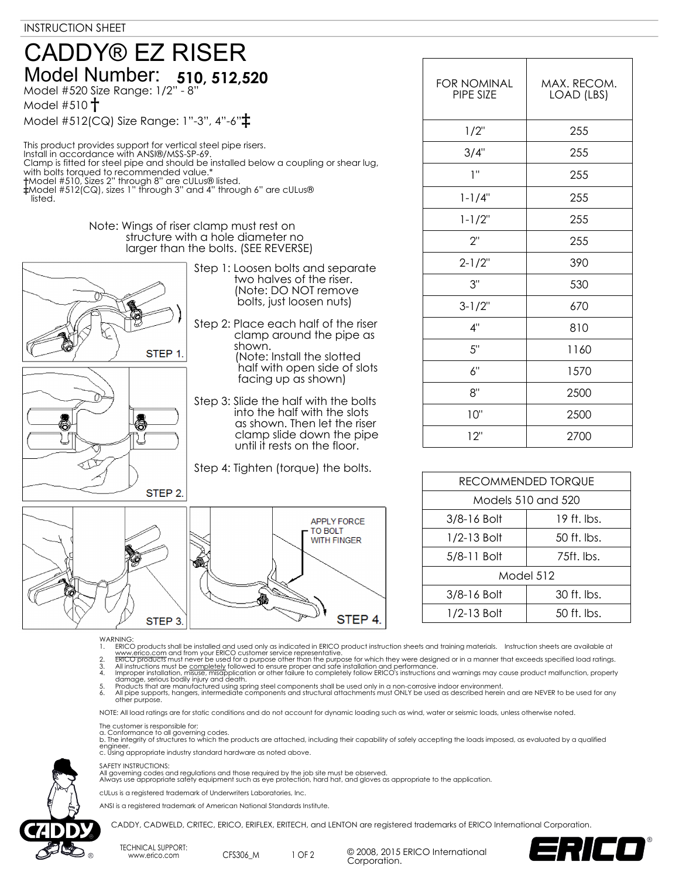## **510, 512,520** Model Number: Model #520 Size Range: 1/2" - 8" Model #510 **†** CADDY® EZ RISER

Model #512(CQ) Size Range: 1"-3", 4"-6"**‡**

This product provides support for vertical steel pipe risers. Install in accordance with ANSI®/MSS-SP-69. Clamp is fitted for steel pipe and should be installed below a coupling or shear lug, with bolts torqued to recommended value.\* **†**Model #510, Sizes 2" through 8" are cULus® listed. **‡**Model #512(CQ), sizes 1" through 3" and 4" through 6" are cULus® listed.

## Note: Wings of riser clamp must rest on structure with a hole diameter no larger than the bolts. (SEE REVERSE)



**APPLY FORCE** TO BOLT **WITH FINGER** ⋒ STEP 4. STEP<sub>3</sub>

 two halves of the riser. (Note: DO NOT remove bolts, just loosen nuts)

shown.

clamp around the pipe as

 (Note: Install the slotted half with open side of slots facing up as shown)

 into the half with the slots as shown. Then let the riser clamp slide down the pipe until it rests on the floor.

| <b>FOR NOMINAL</b><br>PIPE SIZE | MAX. RECOM.<br>LOAD (LBS) |
|---------------------------------|---------------------------|
| 1/2"                            | 255                       |
| 3/4"                            | 255                       |
| ı"                              | 255                       |
| $1 - 1/4"$                      | 255                       |
| $1 - 1/2"$                      | 255                       |
| 2"                              | 255                       |
| $2 - 1/2"$                      | 390                       |
| 3"                              | 530                       |
| $3 - 1/2$ "                     | 670                       |
| 4"                              | 810                       |
| 5"                              | 1160                      |
| 6"                              | 1570                      |
| 8"                              | 2500                      |
| 10"                             | 2500                      |
| 12"                             | 2700                      |

| RECOMMENDED TORQUE |               |  |
|--------------------|---------------|--|
| Models 510 and 520 |               |  |
| 3/8-16 Bolt        | 19 ft. lbs.   |  |
| $1/2 - 13$ Bolt    | $50$ ft. lbs. |  |
| 5/8-11 Bolt        | 75ft. lbs.    |  |
| Model 512          |               |  |
| 3/8-16 Bolt        | 30 ft. lbs.   |  |
| 1/2-13 Bolt        | $50$ ft. lbs. |  |
|                    |               |  |

- WARNING<br>1 FRICO
- 
- 
- 1. ERICO products shall be installed and used only as indicated in ERICO product instruction sheets and training materials. Instruction sheets are available at www.erico.com and from your ERICO customer service representat

NOTE: All load ratings are for static conditions and do not account for dynamic loading such as wind, water or seismic loads, unless otherwise noted.

The customer is responsible for:<br>a. Conformance to all governing codes.<br>b. The integrity of structures to which the products are attached, including their capability of safely accepting the loads imposed, as evaluated by a engineer. c. Using appropriate industry standard hardware as noted above.

### SAFETY INSTRUCTIONS:

All governing codes and regulations and those required by the job site must be observed. Always use appropriate safety equipment such as eye protection, hard hat, and gloves as appropriate to the application.

cULus is a registered trademark of Underwriters Laboratories, Inc.

ANSI is a registered trademark of American National Standards Institute.

CADDY, CADWELD, CRITEC, ERICO, ERIFLEX, ERITECH, and LENTON are registered trademarks of ERICO International Corporation.

TECHNICAL SUPPORT: www.erico.com CFS306\_M

1 OF 2 <sup>©</sup> 2008, 2015 ERICO International Corporation.